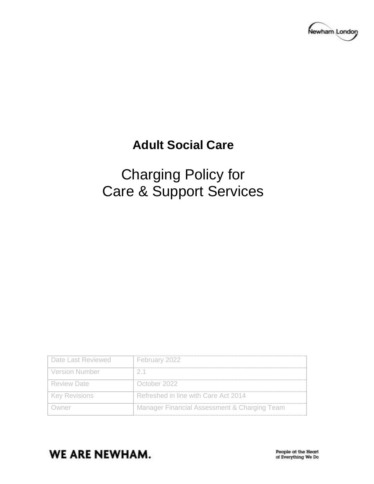

# **Adult Social Care**

# Charging Policy for Care & Support Services

| Date Last Reviewed    | February 2022                                |
|-----------------------|----------------------------------------------|
| <b>Version Number</b> | -2-1                                         |
| l Review Date         | October 2022                                 |
| <b>Key Revisions</b>  | Refreshed in line with Care Act 2014         |
|                       | Manager Financial Assessment & Charging Team |

# **WE ARE NEWHAM.**

People at the Heart of Everything We Do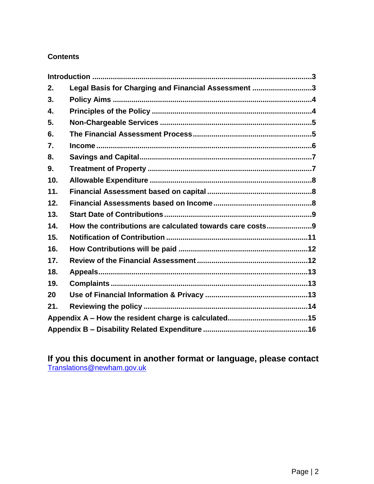# **Contents**

| 2.  | Legal Basis for Charging and Financial Assessment 3      |  |
|-----|----------------------------------------------------------|--|
| 3.  |                                                          |  |
| 4.  |                                                          |  |
| 5.  |                                                          |  |
| 6.  |                                                          |  |
| 7.  |                                                          |  |
| 8.  |                                                          |  |
| 9.  |                                                          |  |
| 10. |                                                          |  |
| 11. |                                                          |  |
| 12. |                                                          |  |
| 13. |                                                          |  |
| 14. | How the contributions are calculated towards care costs9 |  |
| 15. |                                                          |  |
| 16. |                                                          |  |
| 17. |                                                          |  |
| 18. |                                                          |  |
| 19. |                                                          |  |
| 20  |                                                          |  |
| 21. |                                                          |  |
|     |                                                          |  |
|     |                                                          |  |

**If you this document in another format or language, please contact**  [Translations@newham.gov.uk](mailto:Translations@newham.gov.uk)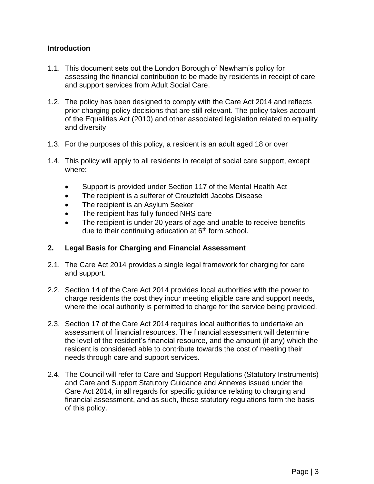# <span id="page-2-0"></span>**Introduction**

- 1.1. This document sets out the London Borough of Newham's policy for assessing the financial contribution to be made by residents in receipt of care and support services from Adult Social Care.
- 1.2. The policy has been designed to comply with the Care Act 2014 and reflects prior charging policy decisions that are still relevant. The policy takes account of the Equalities Act (2010) and other associated legislation related to equality and diversity
- 1.3. For the purposes of this policy, a resident is an adult aged 18 or over
- 1.4. This policy will apply to all residents in receipt of social care support, except where:
	- Support is provided under Section 117 of the Mental Health Act
	- The recipient is a sufferer of Creuzfeldt Jacobs Disease
	- The recipient is an Asylum Seeker
	- The recipient has fully funded NHS care
	- The recipient is under 20 years of age and unable to receive benefits due to their continuing education at  $6<sup>th</sup>$  form school.

# <span id="page-2-1"></span>**2. Legal Basis for Charging and Financial Assessment**

- 2.1. The Care Act 2014 provides a single legal framework for charging for care and support.
- 2.2. Section 14 of the Care Act 2014 provides local authorities with the power to charge residents the cost they incur meeting eligible care and support needs, where the local authority is permitted to charge for the service being provided.
- 2.3. Section 17 of the Care Act 2014 requires local authorities to undertake an assessment of financial resources. The financial assessment will determine the level of the resident's financial resource, and the amount (if any) which the resident is considered able to contribute towards the cost of meeting their needs through care and support services.
- 2.4. The Council will refer to Care and Support Regulations (Statutory Instruments) and Care and Support Statutory Guidance and Annexes issued under the Care Act 2014, in all regards for specific guidance relating to charging and financial assessment, and as such, these statutory regulations form the basis of this policy.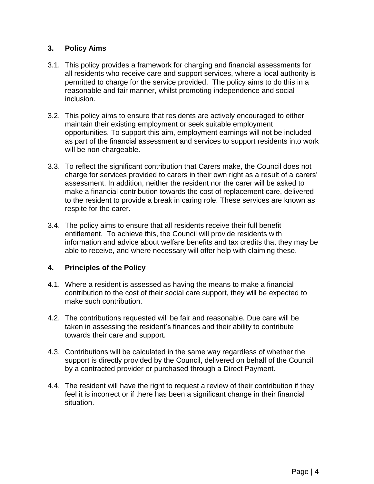# <span id="page-3-0"></span>**3. Policy Aims**

- 3.1. This policy provides a framework for charging and financial assessments for all residents who receive care and support services, where a local authority is permitted to charge for the service provided. The policy aims to do this in a reasonable and fair manner, whilst promoting independence and social inclusion.
- 3.2. This policy aims to ensure that residents are actively encouraged to either maintain their existing employment or seek suitable employment opportunities. To support this aim, employment earnings will not be included as part of the financial assessment and services to support residents into work will be non-chargeable.
- 3.3. To reflect the significant contribution that Carers make, the Council does not charge for services provided to carers in their own right as a result of a carers' assessment. In addition, neither the resident nor the carer will be asked to make a financial contribution towards the cost of replacement care, delivered to the resident to provide a break in caring role. These services are known as respite for the carer.
- 3.4. The policy aims to ensure that all residents receive their full benefit entitlement. To achieve this, the Council will provide residents with information and advice about welfare benefits and tax credits that they may be able to receive, and where necessary will offer help with claiming these.

# <span id="page-3-1"></span>**4. Principles of the Policy**

- 4.1. Where a resident is assessed as having the means to make a financial contribution to the cost of their social care support, they will be expected to make such contribution.
- 4.2. The contributions requested will be fair and reasonable. Due care will be taken in assessing the resident's finances and their ability to contribute towards their care and support.
- 4.3. Contributions will be calculated in the same way regardless of whether the support is directly provided by the Council, delivered on behalf of the Council by a contracted provider or purchased through a Direct Payment.
- 4.4. The resident will have the right to request a review of their contribution if they feel it is incorrect or if there has been a significant change in their financial situation.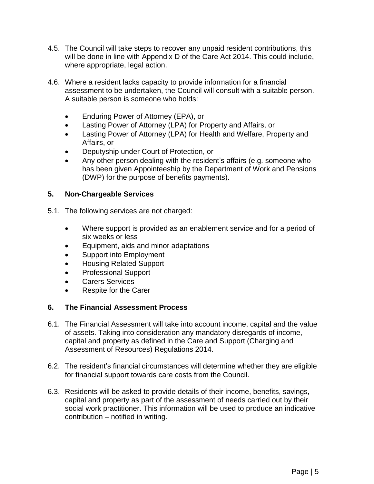- 4.5. The Council will take steps to recover any unpaid resident contributions, this will be done in line with Appendix D of the Care Act 2014. This could include, where appropriate, legal action.
- 4.6. Where a resident lacks capacity to provide information for a financial assessment to be undertaken, the Council will consult with a suitable person. A suitable person is someone who holds:
	- Enduring Power of Attorney (EPA), or
	- Lasting Power of Attorney (LPA) for Property and Affairs, or
	- Lasting Power of Attorney (LPA) for Health and Welfare, Property and Affairs, or
	- Deputyship under Court of Protection, or
	- Any other person dealing with the resident's affairs (e.g. someone who has been given Appointeeship by the Department of Work and Pensions (DWP) for the purpose of benefits payments).

# <span id="page-4-0"></span>**5. Non-Chargeable Services**

- 5.1. The following services are not charged:
	- Where support is provided as an enablement service and for a period of six weeks or less
	- Equipment, aids and minor adaptations
	- Support into Employment
	- Housing Related Support
	- Professional Support
	- Carers Services
	- Respite for the Carer

# <span id="page-4-1"></span>**6. The Financial Assessment Process**

- 6.1. The Financial Assessment will take into account income, capital and the value of assets. Taking into consideration any mandatory disregards of income, capital and property as defined in the Care and Support (Charging and Assessment of Resources) Regulations 2014.
- 6.2. The resident's financial circumstances will determine whether they are eligible for financial support towards care costs from the Council.
- 6.3. Residents will be asked to provide details of their income, benefits, savings, capital and property as part of the assessment of needs carried out by their social work practitioner. This information will be used to produce an indicative contribution – notified in writing.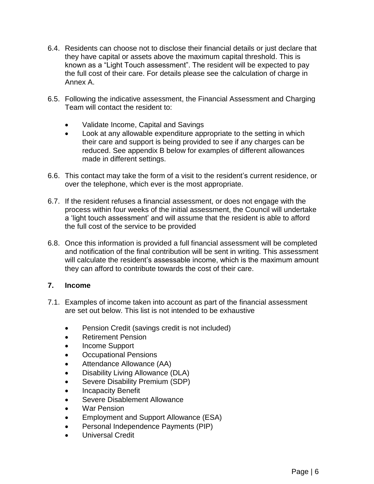- 6.4. Residents can choose not to disclose their financial details or just declare that they have capital or assets above the maximum capital threshold. This is known as a "Light Touch assessment". The resident will be expected to pay the full cost of their care. For details please see the calculation of charge in Annex A.
- 6.5. Following the indicative assessment, the Financial Assessment and Charging Team will contact the resident to:
	- Validate Income, Capital and Savings
	- Look at any allowable expenditure appropriate to the setting in which their care and support is being provided to see if any charges can be reduced. See appendix B below for examples of different allowances made in different settings.
- 6.6. This contact may take the form of a visit to the resident's current residence, or over the telephone, which ever is the most appropriate.
- 6.7. If the resident refuses a financial assessment, or does not engage with the process within four weeks of the initial assessment, the Council will undertake a 'light touch assessment' and will assume that the resident is able to afford the full cost of the service to be provided
- 6.8. Once this information is provided a full financial assessment will be completed and notification of the final contribution will be sent in writing. This assessment will calculate the resident's assessable income, which is the maximum amount they can afford to contribute towards the cost of their care.

# <span id="page-5-0"></span>**7. Income**

- 7.1. Examples of income taken into account as part of the financial assessment are set out below. This list is not intended to be exhaustive
	- Pension Credit (savings credit is not included)
	- Retirement Pension
	- Income Support
	- Occupational Pensions
	- Attendance Allowance (AA)
	- Disability Living Allowance (DLA)
	- Severe Disability Premium (SDP)
	- Incapacity Benefit
	- Severe Disablement Allowance
	- War Pension
	- Employment and Support Allowance (ESA)
	- Personal Independence Payments (PIP)
	- Universal Credit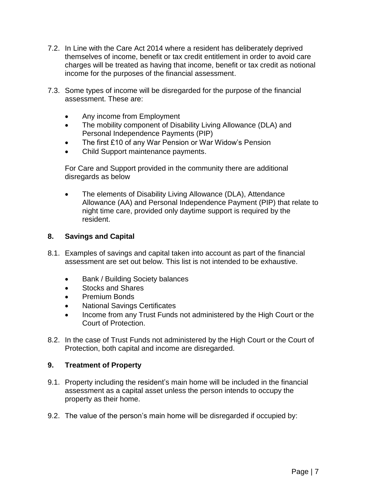- 7.2. In Line with the Care Act 2014 where a resident has deliberately deprived themselves of income, benefit or tax credit entitlement in order to avoid care charges will be treated as having that income, benefit or tax credit as notional income for the purposes of the financial assessment.
- 7.3. Some types of income will be disregarded for the purpose of the financial assessment. These are:
	- Any income from Employment
	- The mobility component of Disability Living Allowance (DLA) and Personal Independence Payments (PIP)
	- The first £10 of any War Pension or War Widow's Pension
	- Child Support maintenance payments.

For Care and Support provided in the community there are additional disregards as below

 The elements of Disability Living Allowance (DLA), Attendance Allowance (AA) and Personal Independence Payment (PIP) that relate to night time care, provided only daytime support is required by the resident.

# <span id="page-6-0"></span>**8. Savings and Capital**

- 8.1. Examples of savings and capital taken into account as part of the financial assessment are set out below. This list is not intended to be exhaustive.
	- Bank / Building Society balances
	- Stocks and Shares
	- Premium Bonds
	- National Savings Certificates
	- Income from any Trust Funds not administered by the High Court or the Court of Protection.
- 8.2. In the case of Trust Funds not administered by the High Court or the Court of Protection, both capital and income are disregarded.

# <span id="page-6-1"></span>**9. Treatment of Property**

- 9.1. Property including the resident's main home will be included in the financial assessment as a capital asset unless the person intends to occupy the property as their home.
- 9.2. The value of the person's main home will be disregarded if occupied by: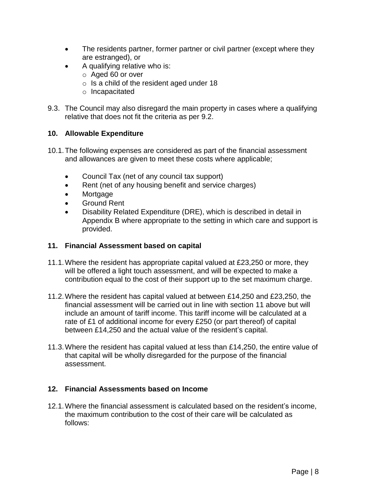- The residents partner, former partner or civil partner (except where they are estranged), or
- A qualifying relative who is:
	- o Aged 60 or over
	- o Is a child of the resident aged under 18
	- o Incapacitated
- 9.3. The Council may also disregard the main property in cases where a qualifying relative that does not fit the criteria as per 9.2.

# <span id="page-7-0"></span>**10. Allowable Expenditure**

- 10.1.The following expenses are considered as part of the financial assessment and allowances are given to meet these costs where applicable;
	- Council Tax (net of any council tax support)
	- Rent (net of any housing benefit and service charges)
	- Mortgage
	- Ground Rent
	- Disability Related Expenditure (DRE), which is described in detail in Appendix B where appropriate to the setting in which care and support is provided.

# <span id="page-7-1"></span>**11. Financial Assessment based on capital**

- 11.1.Where the resident has appropriate capital valued at £23,250 or more, they will be offered a light touch assessment, and will be expected to make a contribution equal to the cost of their support up to the set maximum charge.
- 11.2.Where the resident has capital valued at between £14,250 and £23,250, the financial assessment will be carried out in line with section 11 above but will include an amount of tariff income. This tariff income will be calculated at a rate of £1 of additional income for every £250 (or part thereof) of capital between £14,250 and the actual value of the resident's capital.
- 11.3.Where the resident has capital valued at less than £14,250, the entire value of that capital will be wholly disregarded for the purpose of the financial assessment.

# <span id="page-7-2"></span>**12. Financial Assessments based on Income**

12.1.Where the financial assessment is calculated based on the resident's income, the maximum contribution to the cost of their care will be calculated as follows: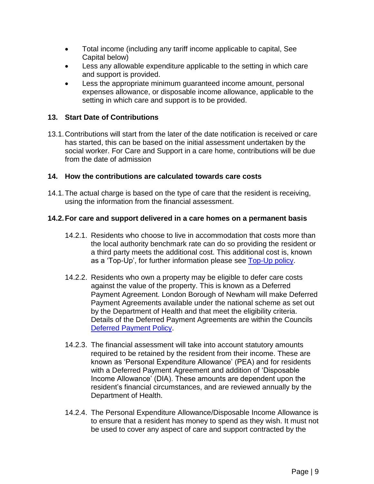- Total income (including any tariff income applicable to capital, See Capital below)
- Less any allowable expenditure applicable to the setting in which care and support is provided.
- Less the appropriate minimum guaranteed income amount, personal expenses allowance, or disposable income allowance, applicable to the setting in which care and support is to be provided.

# <span id="page-8-0"></span>**13. Start Date of Contributions**

13.1.Contributions will start from the later of the date notification is received or care has started, this can be based on the initial assessment undertaken by the social worker. For Care and Support in a care home, contributions will be due from the date of admission

# <span id="page-8-1"></span>**14. How the contributions are calculated towards care costs**

14.1.The actual charge is based on the type of care that the resident is receiving, using the information from the financial assessment.

# **14.2.For care and support delivered in a care homes on a permanent basis**

- 14.2.1. Residents who choose to live in accommodation that costs more than the local authority benchmark rate can do so providing the resident or a third party meets the additional cost. This additional cost is, known as a 'Top-Up', for further information please see [Top-Up policy.](https://www.newham.gov.uk/downloads/file/4605/top-up-policy)
- 14.2.2. Residents who own a property may be eligible to defer care costs against the value of the property. This is known as a Deferred Payment Agreement. London Borough of Newham will make Deferred Payment Agreements available under the national scheme as set out by the Department of Health and that meet the eligibility criteria. Details of the Deferred Payment Agreements are within the Councils [Deferred Payment Policy.](https://www.newham.gov.uk/downloads/file/4604/deferred-payment-policy)
- 14.2.3. The financial assessment will take into account statutory amounts required to be retained by the resident from their income. These are known as 'Personal Expenditure Allowance' (PEA) and for residents with a Deferred Payment Agreement and addition of 'Disposable Income Allowance' (DIA). These amounts are dependent upon the resident's financial circumstances, and are reviewed annually by the Department of Health.
- 14.2.4. The Personal Expenditure Allowance/Disposable Income Allowance is to ensure that a resident has money to spend as they wish. It must not be used to cover any aspect of care and support contracted by the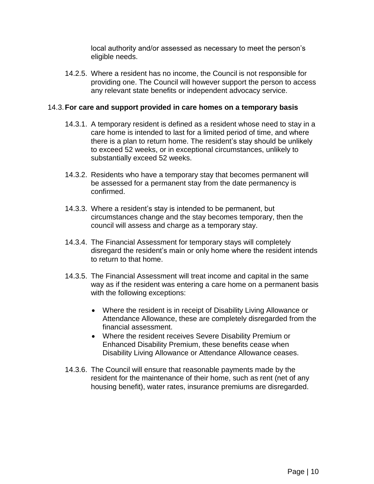local authority and/or assessed as necessary to meet the person's eligible needs.

14.2.5. Where a resident has no income, the Council is not responsible for providing one. The Council will however support the person to access any relevant state benefits or independent advocacy service.

#### 14.3.**For care and support provided in care homes on a temporary basis**

- 14.3.1. A temporary resident is defined as a resident whose need to stay in a care home is intended to last for a limited period of time, and where there is a plan to return home. The resident's stay should be unlikely to exceed 52 weeks, or in exceptional circumstances, unlikely to substantially exceed 52 weeks.
- 14.3.2. Residents who have a temporary stay that becomes permanent will be assessed for a permanent stay from the date permanency is confirmed.
- 14.3.3. Where a resident's stay is intended to be permanent, but circumstances change and the stay becomes temporary, then the council will assess and charge as a temporary stay.
- 14.3.4. The Financial Assessment for temporary stays will completely disregard the resident's main or only home where the resident intends to return to that home.
- 14.3.5. The Financial Assessment will treat income and capital in the same way as if the resident was entering a care home on a permanent basis with the following exceptions:
	- Where the resident is in receipt of Disability Living Allowance or Attendance Allowance, these are completely disregarded from the financial assessment.
	- Where the resident receives Severe Disability Premium or Enhanced Disability Premium, these benefits cease when Disability Living Allowance or Attendance Allowance ceases.
- 14.3.6. The Council will ensure that reasonable payments made by the resident for the maintenance of their home, such as rent (net of any housing benefit), water rates, insurance premiums are disregarded.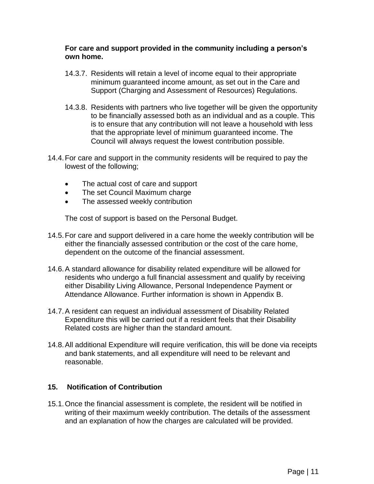#### **For care and support provided in the community including a person's own home.**

- 14.3.7. Residents will retain a level of income equal to their appropriate minimum guaranteed income amount, as set out in the Care and Support (Charging and Assessment of Resources) Regulations.
- 14.3.8. Residents with partners who live together will be given the opportunity to be financially assessed both as an individual and as a couple. This is to ensure that any contribution will not leave a household with less that the appropriate level of minimum guaranteed income. The Council will always request the lowest contribution possible.
- 14.4.For care and support in the community residents will be required to pay the lowest of the following;
	- The actual cost of care and support
	- The set Council Maximum charge
	- The assessed weekly contribution

The cost of support is based on the Personal Budget.

- 14.5.For care and support delivered in a care home the weekly contribution will be either the financially assessed contribution or the cost of the care home, dependent on the outcome of the financial assessment.
- 14.6.A standard allowance for disability related expenditure will be allowed for residents who undergo a full financial assessment and qualify by receiving either Disability Living Allowance, Personal Independence Payment or Attendance Allowance. Further information is shown in Appendix B.
- 14.7.A resident can request an individual assessment of Disability Related Expenditure this will be carried out if a resident feels that their Disability Related costs are higher than the standard amount.
- 14.8.All additional Expenditure will require verification, this will be done via receipts and bank statements, and all expenditure will need to be relevant and reasonable.

# <span id="page-10-0"></span>**15. Notification of Contribution**

15.1.Once the financial assessment is complete, the resident will be notified in writing of their maximum weekly contribution. The details of the assessment and an explanation of how the charges are calculated will be provided.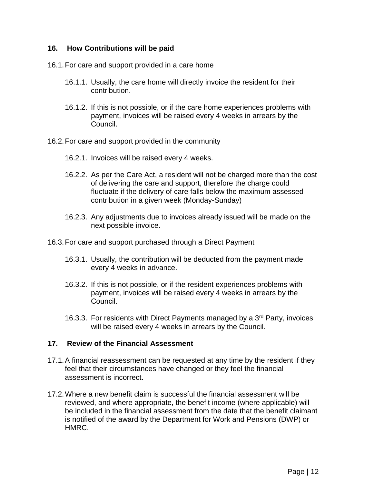# <span id="page-11-0"></span>**16. How Contributions will be paid**

- 16.1.For care and support provided in a care home
	- 16.1.1. Usually, the care home will directly invoice the resident for their contribution.
	- 16.1.2. If this is not possible, or if the care home experiences problems with payment, invoices will be raised every 4 weeks in arrears by the Council.
- 16.2.For care and support provided in the community
	- 16.2.1. Invoices will be raised every 4 weeks.
	- 16.2.2. As per the Care Act, a resident will not be charged more than the cost of delivering the care and support, therefore the charge could fluctuate if the delivery of care falls below the maximum assessed contribution in a given week (Monday-Sunday)
	- 16.2.3. Any adjustments due to invoices already issued will be made on the next possible invoice.
- 16.3.For care and support purchased through a Direct Payment
	- 16.3.1. Usually, the contribution will be deducted from the payment made every 4 weeks in advance.
	- 16.3.2. If this is not possible, or if the resident experiences problems with payment, invoices will be raised every 4 weeks in arrears by the Council.
	- 16.3.3. For residents with Direct Payments managed by a 3<sup>rd</sup> Party, invoices will be raised every 4 weeks in arrears by the Council.

# <span id="page-11-1"></span>**17. Review of the Financial Assessment**

- 17.1.A financial reassessment can be requested at any time by the resident if they feel that their circumstances have changed or they feel the financial assessment is incorrect.
- 17.2.Where a new benefit claim is successful the financial assessment will be reviewed, and where appropriate, the benefit income (where applicable) will be included in the financial assessment from the date that the benefit claimant is notified of the award by the Department for Work and Pensions (DWP) or HMRC.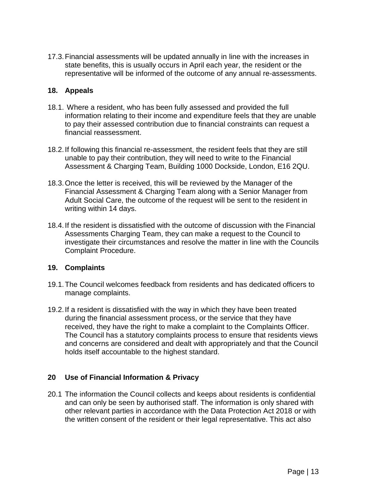17.3.Financial assessments will be updated annually in line with the increases in state benefits, this is usually occurs in April each year, the resident or the representative will be informed of the outcome of any annual re-assessments.

# <span id="page-12-0"></span>**18. Appeals**

- 18.1. Where a resident, who has been fully assessed and provided the full information relating to their income and expenditure feels that they are unable to pay their assessed contribution due to financial constraints can request a financial reassessment.
- 18.2.If following this financial re-assessment, the resident feels that they are still unable to pay their contribution, they will need to write to the Financial Assessment & Charging Team, Building 1000 Dockside, London, E16 2QU.
- 18.3.Once the letter is received, this will be reviewed by the Manager of the Financial Assessment & Charging Team along with a Senior Manager from Adult Social Care, the outcome of the request will be sent to the resident in writing within 14 days.
- 18.4.If the resident is dissatisfied with the outcome of discussion with the Financial Assessments Charging Team, they can make a request to the Council to investigate their circumstances and resolve the matter in line with the Councils Complaint Procedure.

# <span id="page-12-1"></span>**19. Complaints**

- 19.1.The Council welcomes feedback from residents and has dedicated officers to manage complaints.
- 19.2.If a resident is dissatisfied with the way in which they have been treated during the financial assessment process, or the service that they have received, they have the right to make a complaint to the Complaints Officer. The Council has a statutory complaints process to ensure that residents views and concerns are considered and dealt with appropriately and that the Council holds itself accountable to the highest standard.

# <span id="page-12-2"></span>**20 Use of Financial Information & Privacy**

20.1 The information the Council collects and keeps about residents is confidential and can only be seen by authorised staff. The information is only shared with other relevant parties in accordance with the Data Protection Act 2018 or with the written consent of the resident or their legal representative. This act also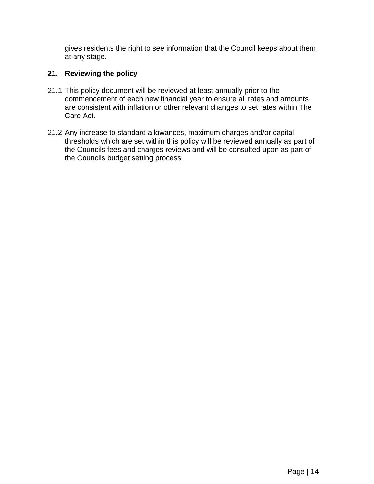gives residents the right to see information that the Council keeps about them at any stage.

# <span id="page-13-0"></span>**21. Reviewing the policy**

- 21.1 This policy document will be reviewed at least annually prior to the commencement of each new financial year to ensure all rates and amounts are consistent with inflation or other relevant changes to set rates within The Care Act.
- 21.2 Any increase to standard allowances, maximum charges and/or capital thresholds which are set within this policy will be reviewed annually as part of the Councils fees and charges reviews and will be consulted upon as part of the Councils budget setting process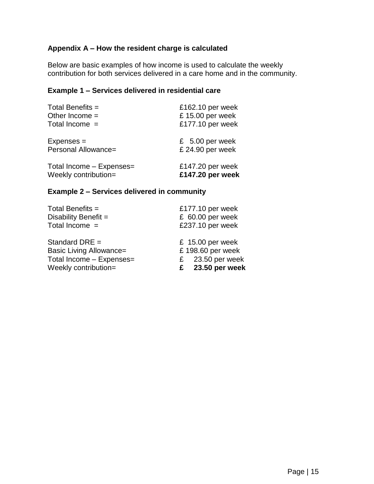# <span id="page-14-0"></span>**Appendix A – How the resident charge is calculated**

Below are basic examples of how income is used to calculate the weekly contribution for both services delivered in a care home and in the community.

# **Example 1 – Services delivered in residential care**

| Total Benefits =         | £162.10 per week  |
|--------------------------|-------------------|
| Other Income $=$         | £15.00 per week   |
| Total Income =           | £177.10 per week  |
| $Expenses =$             | $£$ 5.00 per week |
| Personal Allowance=      | £24.90 per week   |
| Total Income - Expenses= | £147.20 per week  |
| Weekly contribution=     | £147.20 per week  |

#### **Example 2 – Services delivered in community**

| Total Benefits =               | £177.10 per week    |
|--------------------------------|---------------------|
| Disability Benefit $=$         | $£$ 60.00 per week  |
| Total Income $=$               | £237.10 per week    |
| Standard DRE $=$               | £ 15.00 per week    |
| <b>Basic Living Allowance=</b> | £198.60 per week    |
| Total Income - Expenses=       | 23.50 per week<br>£ |
| Weekly contribution=           | 23.50 per week<br>£ |
|                                |                     |